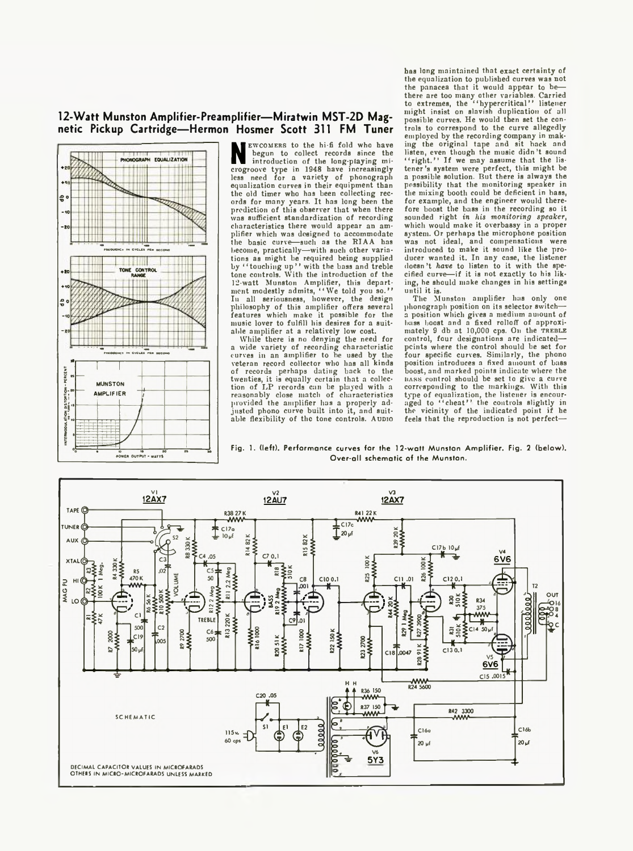## **12-Watt Munston Amplifier-Preamplifier— Miratwin MST-2D Magnetic Pickup Cartridge— Hermon Hosmer Scott 311 FM Tuner**



NEWCOMERS TO the ni-I rout who have the list<br>introduction of the long-playing mi-<br>crogroove type in 1948 have increasingly te EWCOMERS to the hi-fi fold who have begun to collect records since the introduction of the long-playing miless need for a variety of phonograph equalization curves in their equipment than the old timer who has been collecting records for many years. It has long been the prediction of this observer that when there was sufficient standardization of recording characteristics there would appear an amplifier which was designed to accommodate the basic curve—such as the RIAA has become, practically—with such other variations as might be required being supplied<br>by " touching up'' with the bass and treble<br>tone controls. With the introduction of the 12-watt Munston Amplifier, this depart-ment modestly admits, " We told you so." In all seriousness, however, the design philosophy of this amplifier offers several features which make it possible for the music lover to fulfill his desires for a suitable amplifier at a relatively low cost.

While there is no denying the need for a wide variety of recording characteristic curves in an amplifier to be used by the veteran record collector who has all kinds of records perhaps dating back to the twenties, it is equally certain that a collection of LP records can be played with a reasonably close match of characteristics provided the amplifier has a properly adjusted phono curve built into it, and suitable flexibility of the tone controls. A upio has long maintained that exact certainty of the equalization to published curves was not the panacea that it would appear to be there are too many other variables. Carried to extremes, the " hypercritical ' ' listener might insist on slavish duplication of all possible curves. He would then set the controls to correspond to the curve allegedly employed by the recording company in making the original tape and sit back and listen, even though the music didn't sound<br>"right.'" If we may assume that the lis-<br>tener's system were perfect, this might be<br>a possible solution. But there is always the possibility that the monitoring speaker in the mixing booth could be deficient in bass, for example, and the engineer would therefore boost the bass in the recording so it sounded right *in his monitoring speaker,* which would make it overbassy in a proper system. Or perhaps the microphone position was not ideal, and compensations were introduced to make it sound like the producer wanted it. In any case, the listener doesn't *have* to listen to it with the specified curve—if it is not exactly to his liking, he should make changes in his settings until it is.

The Munston amplifier has only one phonograph position on its selector switcha position which gives a medium auiount of bass boost and a fixed rolloff of approxi-<br>mately 9 db at 10,000 cps. On the TREBLE<br>control, four designations are indicated points where the control should be set for four specific curves. Similarly, the phono position introduces a fixed amount of bass boost, and marked points indicate where the<br>hass control should be set to give a curve nass control should be set to give a curve corresponding to the markings. With this type of equalization, the listener is encour-<br>aged to "cheat?" the controls slightly in the vicinity of the indicated point if he feels that the reproduction is not perfect—

Fig. 1. (left). Performance curves for the 12-watt Munston Amplifier. Fig. 2 (below). Over-all schematic of the Munston.